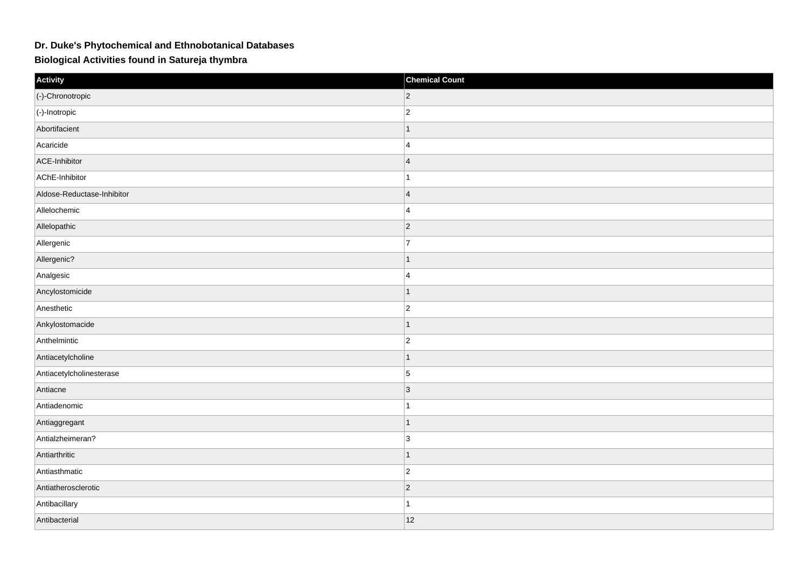## **Dr. Duke's Phytochemical and Ethnobotanical Databases**

**Biological Activities found in Satureja thymbra**

| Activity                   | <b>Chemical Count</b> |
|----------------------------|-----------------------|
| (-)-Chronotropic           | $\overline{c}$        |
| $ $ (-)-Inotropic          | $\overline{2}$        |
| Abortifacient              | 1                     |
| Acaricide                  | $\overline{4}$        |
| ACE-Inhibitor              | $\overline{4}$        |
| AChE-Inhibitor             | 1                     |
| Aldose-Reductase-Inhibitor | $\overline{4}$        |
| Allelochemic               | $\overline{4}$        |
| Allelopathic               | $ 2\rangle$           |
| Allergenic                 | 7                     |
| Allergenic?                |                       |
| Analgesic                  | $\overline{4}$        |
| Ancylostomicide            | $\mathbf 1$           |
| Anesthetic                 | $\overline{2}$        |
| Ankylostomacide            | $\mathbf 1$           |
| Anthelmintic               | $\overline{c}$        |
| Antiacetylcholine          | 1                     |
| Antiacetylcholinesterase   | $\overline{5}$        |
| Antiacne                   | 3                     |
| Antiadenomic               | 1                     |
| Antiaggregant              | 1                     |
| Antialzheimeran?           | $\overline{3}$        |
| Antiarthritic              | -1                    |
| Antiasthmatic              | $\overline{c}$        |
| Antiatherosclerotic        | $ 2\rangle$           |
| Antibacillary              | $\mathbf 1$           |
| Antibacterial              | 12                    |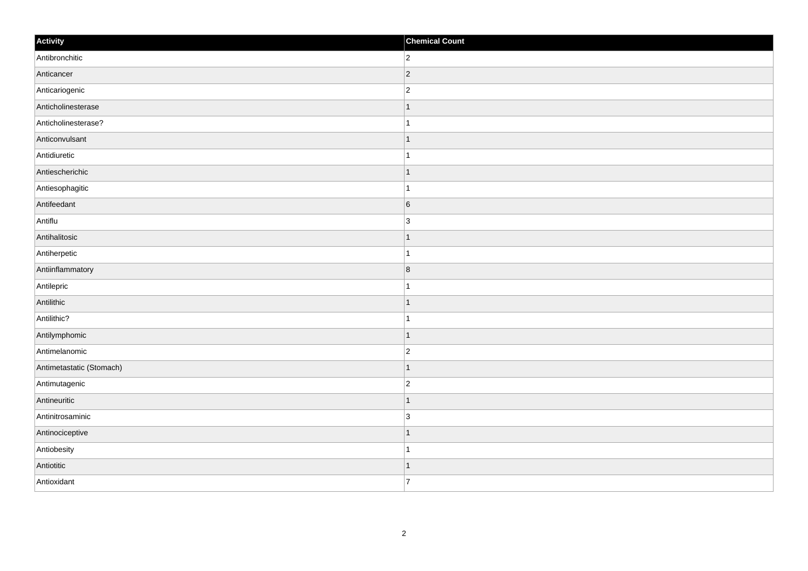| Activity                 | <b>Chemical Count</b> |
|--------------------------|-----------------------|
| Antibronchitic           | $ 2\rangle$           |
| Anticancer               | $ 2\rangle$           |
| Anticariogenic           | $\overline{c}$        |
| Anticholinesterase       | $\mathbf 1$           |
| Anticholinesterase?      | $\overline{1}$        |
| Anticonvulsant           | -1                    |
| Antidiuretic             | $\mathbf{1}$          |
| Antiescherichic          | $\mathbf{1}$          |
| Antiesophagitic          | 1                     |
| Antifeedant              | 6                     |
| Antiflu                  | $\overline{3}$        |
| Antihalitosic            | $\mathbf 1$           |
| Antiherpetic             | $\mathbf{1}$          |
| Antiinflammatory         | $\bf 8$               |
| Antilepric               |                       |
| Antilithic               | $\vert$ 1             |
| Antilithic?              | $\mathbf{1}$          |
| Antilymphomic            | $\vert$ 1             |
| Antimelanomic            | $\overline{c}$        |
| Antimetastatic (Stomach) | 1                     |
| Antimutagenic            | $\overline{c}$        |
| Antineuritic             | $\vert$ 1             |
| Antinitrosaminic         | 3                     |
| Antinociceptive          | $\mathbf 1$           |
| Antiobesity              | 1                     |
| Antiotitic               | 1                     |
| Antioxidant              | $\overline{7}$        |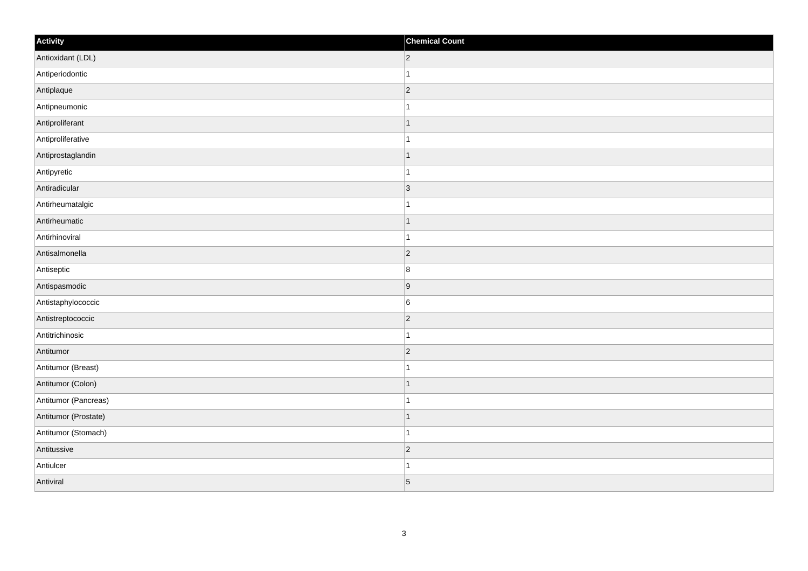| Activity             | <b>Chemical Count</b> |
|----------------------|-----------------------|
| Antioxidant (LDL)    | $ 2\rangle$           |
| Antiperiodontic      | $\mathbf{1}$          |
| Antiplaque           | $ 2\rangle$           |
| Antipneumonic        | $\mathbf{1}$          |
| Antiproliferant      | $\mathbf{1}$          |
| Antiproliferative    | $\mathbf{1}$          |
| Antiprostaglandin    | $\vert$ 1             |
| Antipyretic          | $\mathbf{1}$          |
| Antiradicular        | $ 3\rangle$           |
| Antirheumatalgic     | $\mathbf{1}$          |
| Antirheumatic        | $\vert$ 1             |
| Antirhinoviral       | $\mathbf{1}$          |
| Antisalmonella       | $ 2\rangle$           |
| Antiseptic           | 8                     |
| Antispasmodic        | 9                     |
| Antistaphylococcic   | $\overline{6}$        |
| Antistreptococcic    | $\overline{2}$        |
| Antitrichinosic      | $\vert$ 1             |
| Antitumor            | $ 2\rangle$           |
| Antitumor (Breast)   | $\mathbf{1}$          |
| Antitumor (Colon)    | $\vert$ 1             |
| Antitumor (Pancreas) | $\vert$ 1             |
| Antitumor (Prostate) | $\vert$ 1             |
| Antitumor (Stomach)  | $\vert$ 1             |
| Antitussive          | $ 2\rangle$           |
| Antiulcer            | $\mathbf{1}$          |
| Antiviral            | $\overline{5}$        |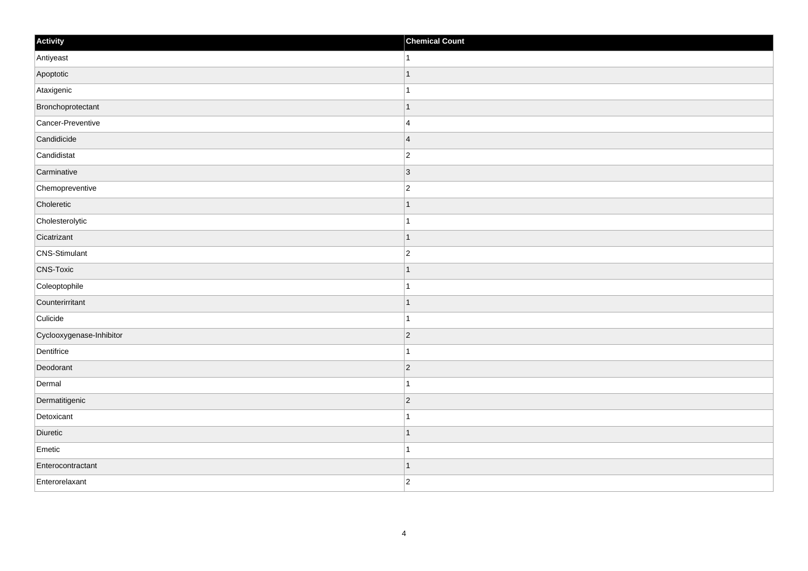| Activity                 | <b>Chemical Count</b>    |
|--------------------------|--------------------------|
| Antiyeast                | 1                        |
| Apoptotic                |                          |
| Ataxigenic               |                          |
| Bronchoprotectant        | 1                        |
| Cancer-Preventive        | $\overline{4}$           |
| Candidicide              | $\overline{4}$           |
| Candidistat              | $\overline{c}$           |
| Carminative              | $\vert$ 3                |
| Chemopreventive          | $\overline{2}$           |
| Choleretic               | 1                        |
| Cholesterolytic          | 1                        |
| Cicatrizant              | $\overline{\phantom{a}}$ |
| CNS-Stimulant            | $\overline{c}$           |
| <b>CNS-Toxic</b>         |                          |
| Coleoptophile            |                          |
| Counterirritant          | 1                        |
| Culicide                 | -1                       |
| Cyclooxygenase-Inhibitor | $\vert$ 2                |
| Dentifrice               |                          |
| Deodorant                | $\vert$ 2                |
| Dermal                   |                          |
| Dermatitigenic           | $\vert$ 2                |
| Detoxicant               |                          |
| Diuretic                 | $\overline{\phantom{a}}$ |
| Emetic                   | -1                       |
| Enterocontractant        | -1                       |
| Enterorelaxant           | $\overline{2}$           |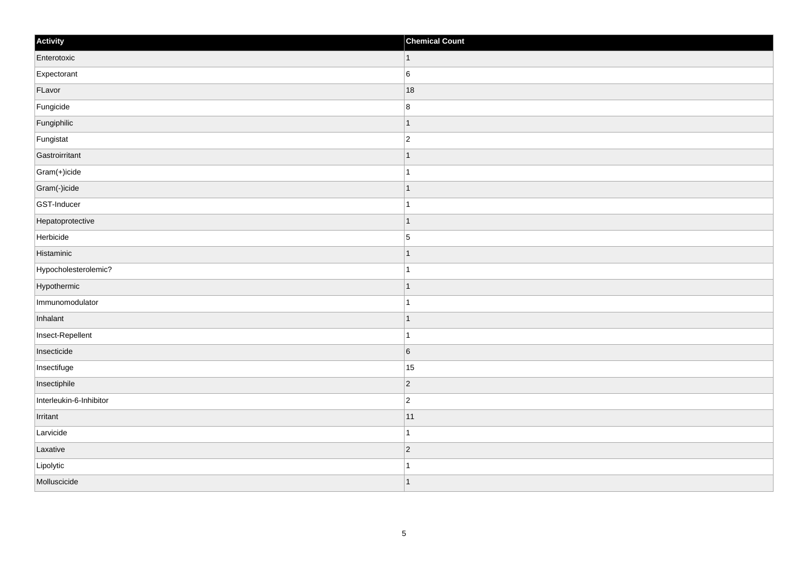| Activity                | <b>Chemical Count</b>    |
|-------------------------|--------------------------|
| Enterotoxic             | $\vert$ 1                |
| Expectorant             | $6\overline{6}$          |
| FLavor                  | 18                       |
| Fungicide               | $\bf 8$                  |
| Fungiphilic             | -1                       |
| Fungistat               | $\overline{c}$           |
| Gastroirritant          | $\vert$ 1                |
| Gram(+)icide            | $\overline{1}$           |
| Gram(-)icide            | f.                       |
| GST-Inducer             |                          |
| Hepatoprotective        | -1                       |
| Herbicide               | $\overline{5}$           |
| Histaminic              | 1                        |
| Hypocholesterolemic?    | 1                        |
| Hypothermic             | $\overline{\phantom{a}}$ |
| Immunomodulator         | 1                        |
| Inhalant                | 1                        |
| Insect-Repellent        | -1                       |
| Insecticide             | $6\phantom{a}$           |
| Insectifuge             | 15                       |
| Insectiphile            | $\vert$ 2                |
| Interleukin-6-Inhibitor | $\overline{c}$           |
| Irritant                | 11                       |
| Larvicide               | 1                        |
| Laxative                | $\vert$ 2                |
| Lipolytic               |                          |
| Molluscicide            | ∣ 1                      |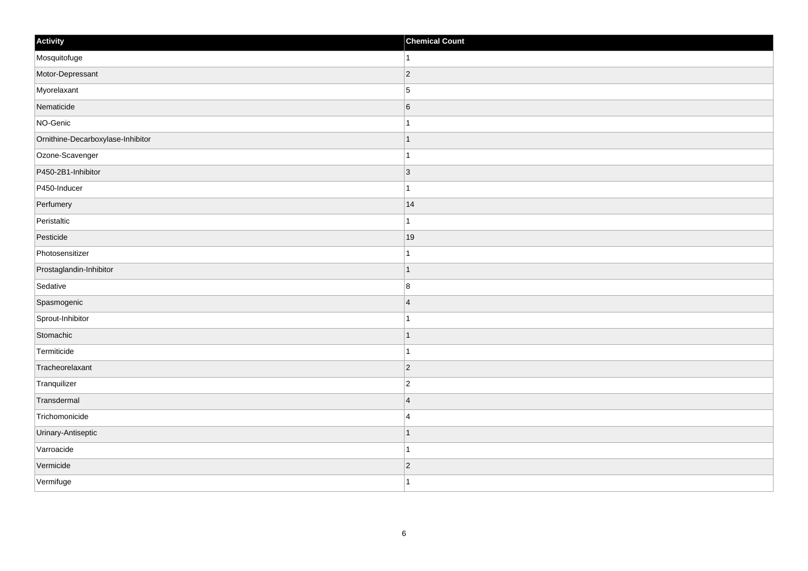| Activity                          | <b>Chemical Count</b> |
|-----------------------------------|-----------------------|
| Mosquitofuge                      | $\vert$ 1             |
| Motor-Depressant                  | $ 2\rangle$           |
| Myorelaxant                       | 5                     |
| Nematicide                        | $6\overline{6}$       |
| NO-Genic                          | $\mathbf{1}$          |
| Ornithine-Decarboxylase-Inhibitor | $\mathbf{1}$          |
| Ozone-Scavenger                   | $\mathbf{1}$          |
| P450-2B1-Inhibitor                | 3                     |
| P450-Inducer                      | $\mathbf{1}$          |
| Perfumery                         | 14                    |
| Peristaltic                       | $\mathbf{1}$          |
| Pesticide                         | 19                    |
| Photosensitizer                   | $\mathbf{1}$          |
| Prostaglandin-Inhibitor           | $\vert$ 1             |
| Sedative                          | 8                     |
| Spasmogenic                       | $\vert$ 4             |
| Sprout-Inhibitor                  | $\mathbf{1}$          |
| Stomachic                         | $\vert$ 1             |
| Termiticide                       | $\vert$ 1             |
| Tracheorelaxant                   | $ 2\rangle$           |
| Tranquilizer                      | $ 2\rangle$           |
| Transdermal                       | $\vert 4 \vert$       |
| Trichomonicide                    | 4                     |
| Urinary-Antiseptic                | $\vert$ 1             |
| Varroacide                        | $\mathbf{1}$          |
| Vermicide                         | $\vert$ 2             |
| Vermifuge                         | $\vert$ 1             |